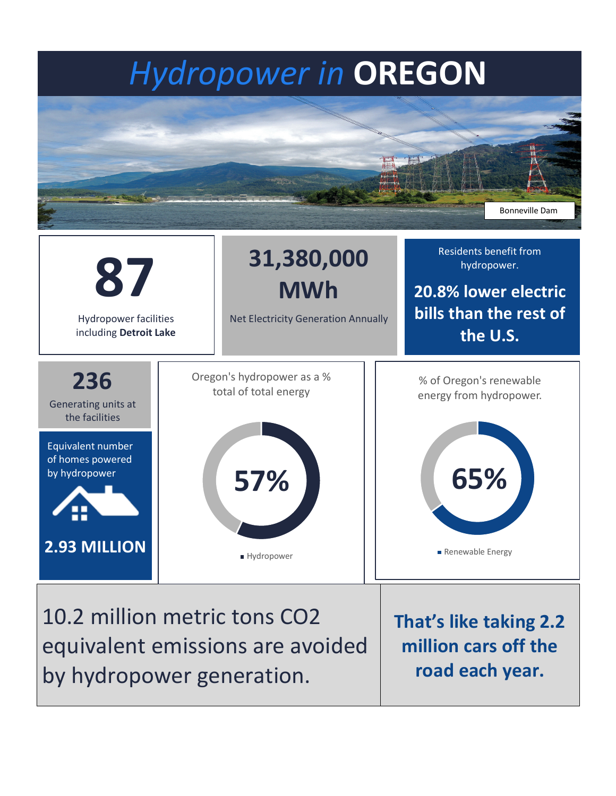## *Hydropower in* **OREGON**





10.2 million metric tons CO2 equivalent emissions are avoided by hydropower generation.

**That's like taking 2.2 million cars off the road each year.**